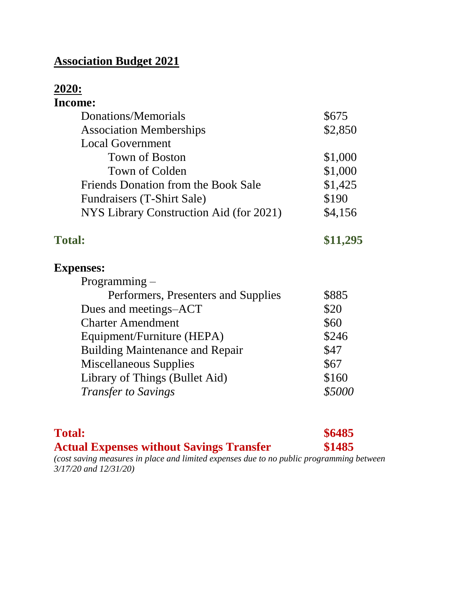# **Association Budget 2021**

#### **2020: Income:**

| Donations/Memorials                     | \$675                                       |
|-----------------------------------------|---------------------------------------------|
| <b>Association Memberships</b>          | \$2,850                                     |
| <b>Local Government</b>                 |                                             |
| Town of Boston                          | \$1,000                                     |
| Town of Colden                          | \$1,000                                     |
| Friends Donation from the Book Sale     | \$1,425                                     |
| Fundraisers (T-Shirt Sale)              | \$190                                       |
| NYS Library Construction Aid (for 2021) | \$4,156                                     |
| <b>Total:</b>                           | \$11,295                                    |
| <b>Expenses:</b>                        |                                             |
| $Programming -$                         |                                             |
|                                         | $\bigwedge \bigwedge \bigwedge \rightarrow$ |

| Performers, Presenters and Supplies    | \$885  |
|----------------------------------------|--------|
| Dues and meetings-ACT                  | \$20   |
| <b>Charter Amendment</b>               | \$60   |
| Equipment/Furniture (HEPA)             | \$246  |
| <b>Building Maintenance and Repair</b> | \$47   |
| <b>Miscellaneous Supplies</b>          | \$67   |
| Library of Things (Bullet Aid)         | \$160  |
| <b>Transfer to Savings</b>             | \$5000 |
|                                        |        |

| <b>Total:</b>                                                                           | \$6485 |
|-----------------------------------------------------------------------------------------|--------|
| <b>Actual Expenses without Savings Transfer</b>                                         | \$1485 |
| (cost saving measures in place and limited expenses due to no public programming betwee |        |

*(cost saving measures in place and limited expenses due to no public programming between 3/17/20 and 12/31/20)*